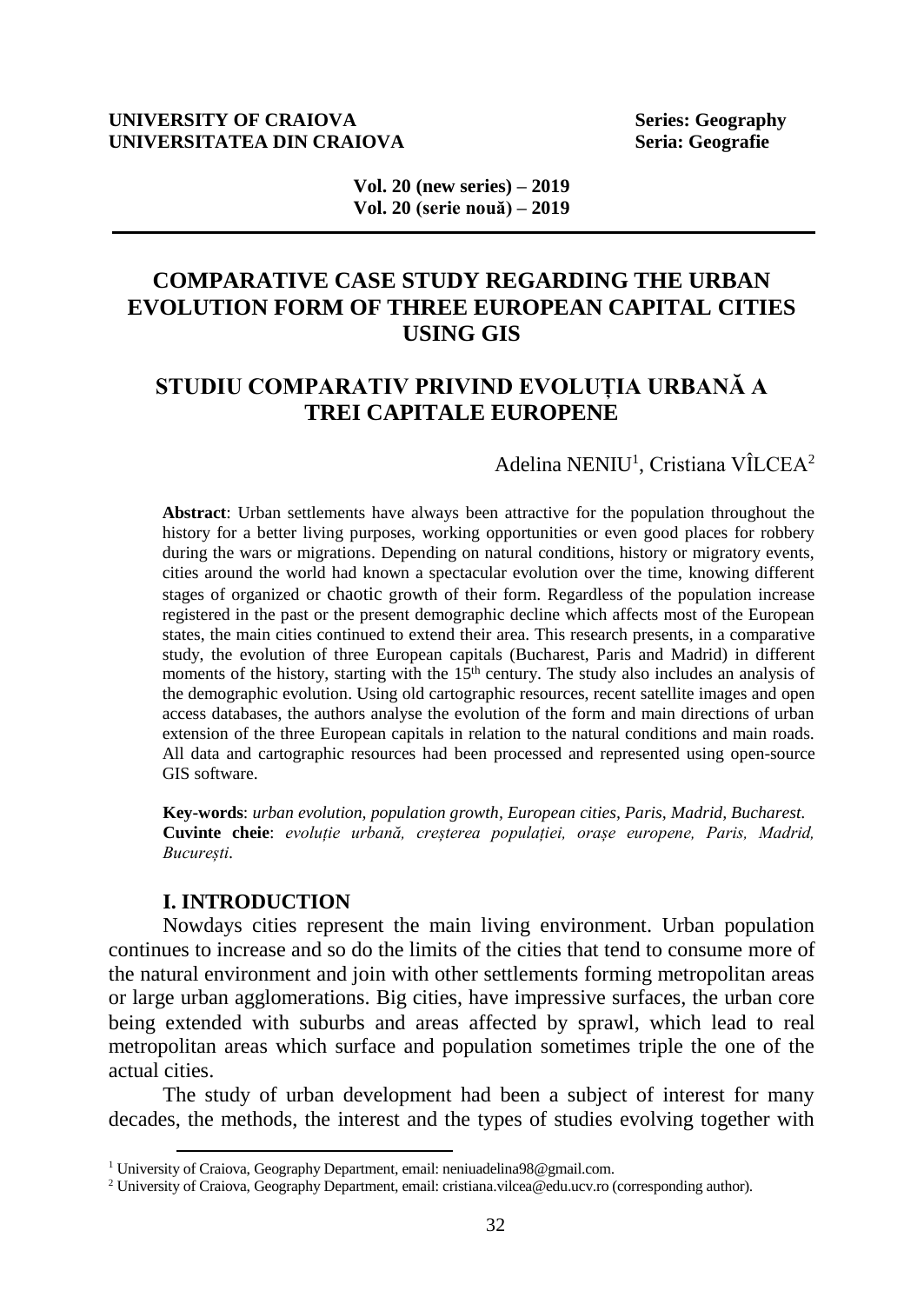#### **UNIVERSITY OF CRAIOVA Series: Geography UNIVERSITATEA DIN CRAIOVA Seria: Geografie**

**Vol. 20 (new series) – 2019 Vol. 20 (serie nouă) – 2019**

# **COMPARATIVE CASE STUDY REGARDING THE URBAN EVOLUTION FORM OF THREE EUROPEAN CAPITAL CITIES USING GIS**

# **STUDIU COMPARATIV PRIVIND EVOLUȚIA URBANĂ A TREI CAPITALE EUROPENE**

## Adelina NENIU<sup>1</sup>, Cristiana VÎLCEA<sup>2</sup>

**Abstract**: Urban settlements have always been attractive for the population throughout the history for a better living purposes, working opportunities or even good places for robbery during the wars or migrations. Depending on natural conditions, history or migratory events, cities around the world had known a spectacular evolution over the time, knowing different stages of organized or chaotic growth of their form. Regardless of the population increase registered in the past or the present demographic decline which affects most of the European states, the main cities continued to extend their area. This research presents, in a comparative study, the evolution of three European capitals (Bucharest, Paris and Madrid) in different moments of the history, starting with the  $15<sup>th</sup>$  century. The study also includes an analysis of the demographic evolution. Using old cartographic resources, recent satellite images and open access databases, the authors analyse the evolution of the form and main directions of urban extension of the three European capitals in relation to the natural conditions and main roads. All data and cartographic resources had been processed and represented using open-source GIS software.

**Key-words**: *urban evolution, population growth, European cities, Paris, Madrid, Bucharest.* **Cuvinte cheie**: *evoluție urbană, creșterea populației, orașe europene, Paris, Madrid, București.*

## **I. INTRODUCTION**

l

Nowdays cities represent the main living environment. Urban population continues to increase and so do the limits of the cities that tend to consume more of the natural environment and join with other settlements forming metropolitan areas or large urban agglomerations. Big cities, have impressive surfaces, the urban core being extended with suburbs and areas affected by sprawl, which lead to real metropolitan areas which surface and population sometimes triple the one of the actual cities.

The study of urban development had been a subject of interest for many decades, the methods, the interest and the types of studies evolving together with

<sup>&</sup>lt;sup>1</sup> University of Craiova, Geography Department, email: [neniuadelina98@gmail.com.](mailto:neniuadelina98@gmail.com)

<sup>2</sup> University of Craiova, Geography Department, email: [cristiana.vilcea@edu.ucv.ro](mailto:cristiana.vilcea@edu.ucv.ro) (corresponding author).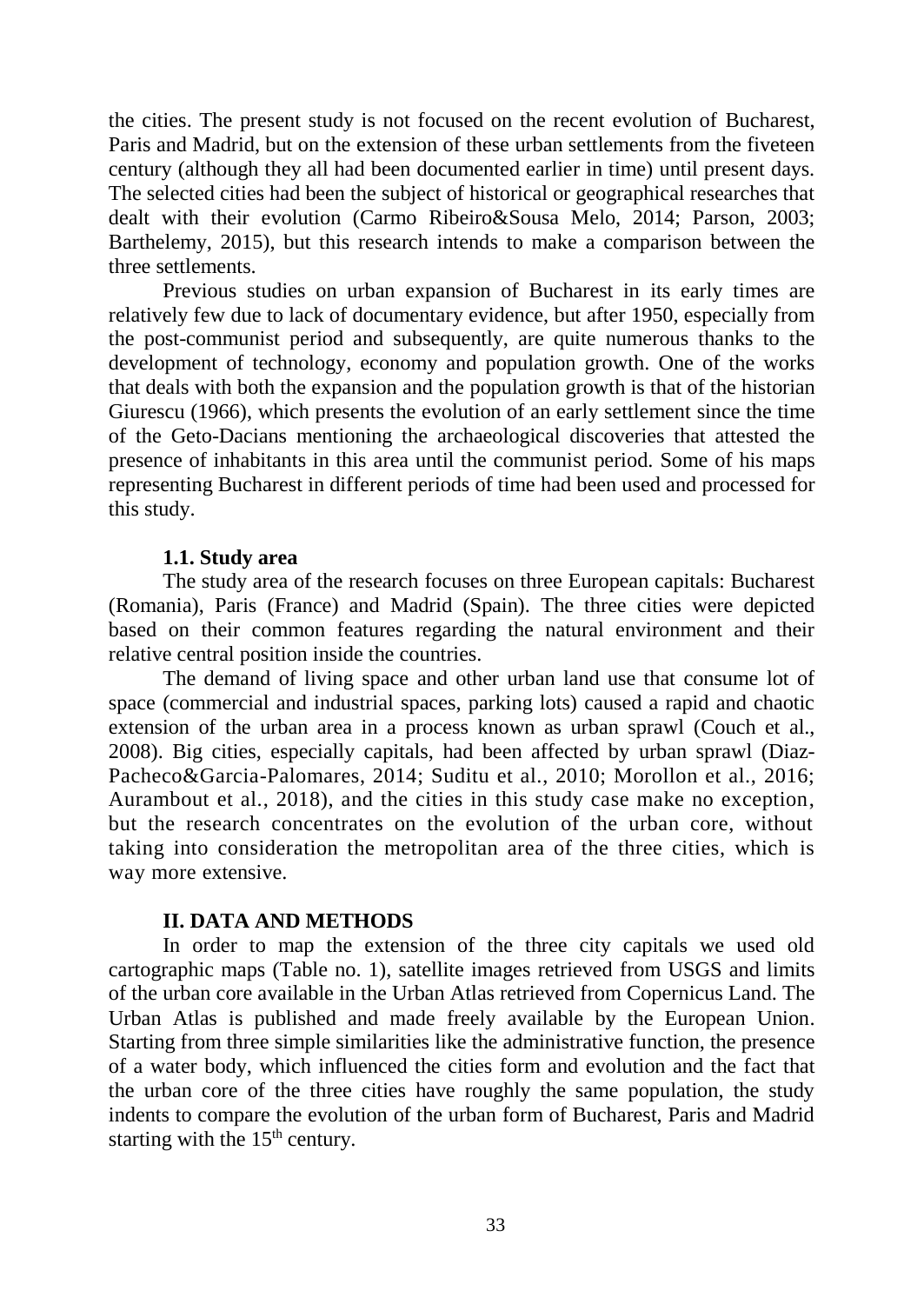the cities. The present study is not focused on the recent evolution of Bucharest, Paris and Madrid, but on the extension of these urban settlements from the fiveteen century (although they all had been documented earlier in time) until present days. The selected cities had been the subject of historical or geographical researches that dealt with their evolution (Carmo Ribeiro&Sousa Melo, 2014; Parson, 2003; Barthelemy, 2015), but this research intends to make a comparison between the three settlements.

Previous studies on urban expansion of Bucharest in its early times are relatively few due to lack of documentary evidence, but after 1950, especially from the post-communist period and subsequently, are quite numerous thanks to the development of technology, economy and population growth. One of the works that deals with both the expansion and the population growth is that of the historian Giurescu (1966), which presents the evolution of an early settlement since the time of the Geto-Dacians mentioning the archaeological discoveries that attested the presence of inhabitants in this area until the communist period. Some of his maps representing Bucharest in different periods of time had been used and processed for this study.

### **1.1. Study area**

The study area of the research focuses on three European capitals: Bucharest (Romania), Paris (France) and Madrid (Spain). The three cities were depicted based on their common features regarding the natural environment and their relative central position inside the countries.

The demand of living space and other urban land use that consume lot of space (commercial and industrial spaces, parking lots) caused a rapid and chaotic extension of the urban area in a process known as urban sprawl (Couch et al., 2008). Big cities, especially capitals, had been affected by urban sprawl (Diaz-Pacheco&Garcia-Palomares, 2014; Suditu et al., 2010; Morollon et al., 2016; Aurambout et al., 2018), and the cities in this study case make no exception, but the research concentrates on the evolution of the urban core, without taking into consideration the metropolitan area of the three cities, which is way more extensive.

## **II. DATA AND METHODS**

In order to map the extension of the three city capitals we used old cartographic maps (Table no. 1), satellite images retrieved from USGS and limits of the urban core available in the Urban Atlas retrieved from Copernicus Land. The Urban Atlas is published and made freely available by the European Union. Starting from three simple similarities like the administrative function, the presence of a water body, which influenced the cities form and evolution and the fact that the urban core of the three cities have roughly the same population, the study indents to compare the evolution of the urban form of Bucharest, Paris and Madrid starting with the  $15<sup>th</sup>$  century.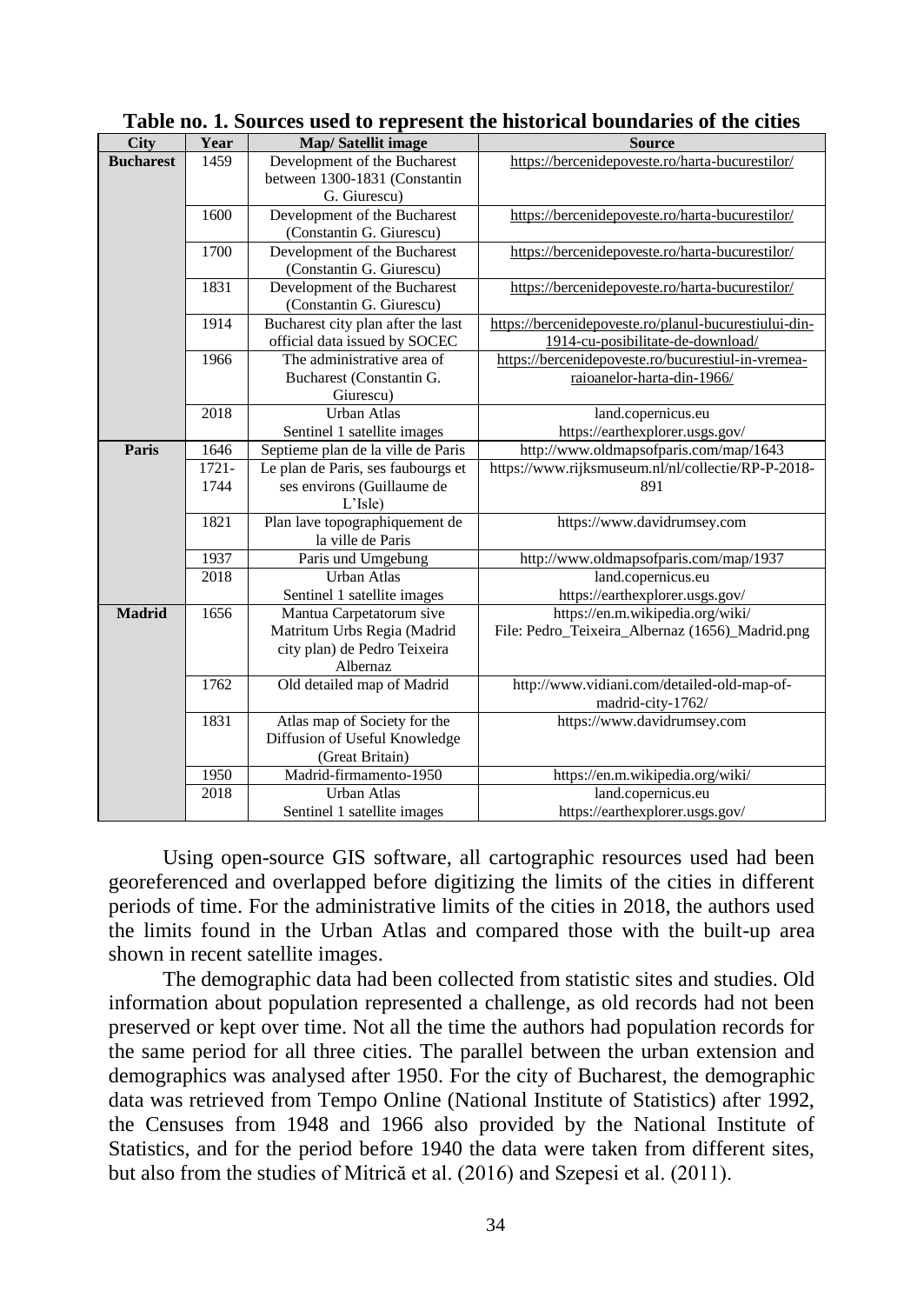| <b>City</b>      | Year     | Map/Satellit image                                          | <b>Source</b>                                         |
|------------------|----------|-------------------------------------------------------------|-------------------------------------------------------|
|                  | 1459     |                                                             |                                                       |
| <b>Bucharest</b> |          | Development of the Bucharest                                | https://bercenidepoveste.ro/harta-bucurestilor/       |
|                  |          | between 1300-1831 (Constantin                               |                                                       |
|                  |          | G. Giurescu)                                                |                                                       |
|                  | 1600     | Development of the Bucharest                                | https://bercenidepoveste.ro/harta-bucurestilor/       |
|                  |          | (Constantin G. Giurescu)                                    |                                                       |
|                  | 1700     | Development of the Bucharest                                | https://bercenidepoveste.ro/harta-bucurestilor/       |
|                  |          | (Constantin G. Giurescu)                                    |                                                       |
|                  | 1831     | Development of the Bucharest                                | https://bercenidepoveste.ro/harta-bucurestilor/       |
|                  |          | (Constantin G. Giurescu)                                    |                                                       |
|                  | 1914     | Bucharest city plan after the last                          | https://bercenidepoveste.ro/planul-bucurestiului-din- |
|                  |          | official data issued by SOCEC                               | 1914-cu-posibilitate-de-download/                     |
|                  | 1966     | The administrative area of                                  | https://bercenidepoveste.ro/bucurestiul-in-vremea-    |
|                  |          | Bucharest (Constantin G.                                    | raioanelor-harta-din-1966/                            |
|                  |          | Giurescu)                                                   |                                                       |
|                  | 2018     | <b>Urban Atlas</b>                                          | land.copernicus.eu                                    |
|                  |          | Sentinel 1 satellite images                                 | https://earthexplorer.usgs.gov/                       |
| Paris            | 1646     | Septieme plan de la ville de Paris                          | http://www.oldmapsofparis.com/map/1643                |
|                  | $1721 -$ | Le plan de Paris, ses faubourgs et                          | https://www.rijksmuseum.nl/nl/collectie/RP-P-2018-    |
|                  | 1744     | ses environs (Guillaume de                                  | 891                                                   |
|                  |          | L'Isle)                                                     |                                                       |
|                  | 1821     | Plan lave topographiquement de                              | https://www.davidrumsey.com                           |
|                  |          | la ville de Paris                                           |                                                       |
|                  | 1937     | Paris und Umgebung                                          | http://www.oldmapsofparis.com/map/1937                |
|                  | 2018     | <b>Urban Atlas</b>                                          | land.copernicus.eu                                    |
|                  |          | Sentinel 1 satellite images                                 | https://earthexplorer.usgs.gov/                       |
| <b>Madrid</b>    | 1656     | Mantua Carpetatorum sive                                    | https://en.m.wikipedia.org/wiki/                      |
|                  |          |                                                             |                                                       |
|                  |          | Matritum Urbs Regia (Madrid<br>city plan) de Pedro Teixeira | File: Pedro_Teixeira_Albernaz (1656)_Madrid.png       |
|                  |          | Albernaz                                                    |                                                       |
|                  |          |                                                             |                                                       |
|                  | 1762     | Old detailed map of Madrid                                  | http://www.vidiani.com/detailed-old-map-of-           |
|                  |          |                                                             | madrid-city-1762/                                     |
|                  | 1831     | Atlas map of Society for the                                | https://www.davidrumsey.com                           |
|                  |          | Diffusion of Useful Knowledge                               |                                                       |
|                  |          | (Great Britain)                                             |                                                       |
|                  | 1950     | Madrid-firmamento-1950                                      | https://en.m.wikipedia.org/wiki/                      |
|                  | 2018     | <b>Urban Atlas</b>                                          | land.copernicus.eu                                    |
|                  |          | Sentinel 1 satellite images                                 | https://earthexplorer.usgs.gov/                       |

**Table no. 1. Sources used to represent the historical boundaries of the cities**

Using open-source GIS software, all cartographic resources used had been georeferenced and overlapped before digitizing the limits of the cities in different periods of time. For the administrative limits of the cities in 2018, the authors used the limits found in the Urban Atlas and compared those with the built-up area shown in recent satellite images.

The demographic data had been collected from statistic sites and studies. Old information about population represented a challenge, as old records had not been preserved or kept over time. Not all the time the authors had population records for the same period for all three cities. The parallel between the urban extension and demographics was analysed after 1950. For the city of Bucharest, the demographic data was retrieved from Tempo Online (National Institute of Statistics) after 1992, the Censuses from 1948 and 1966 also provided by the National Institute of Statistics, and for the period before 1940 the data were taken from different sites, but also from the studies of Mitrică et al. (2016) and Szepesi et al. (2011).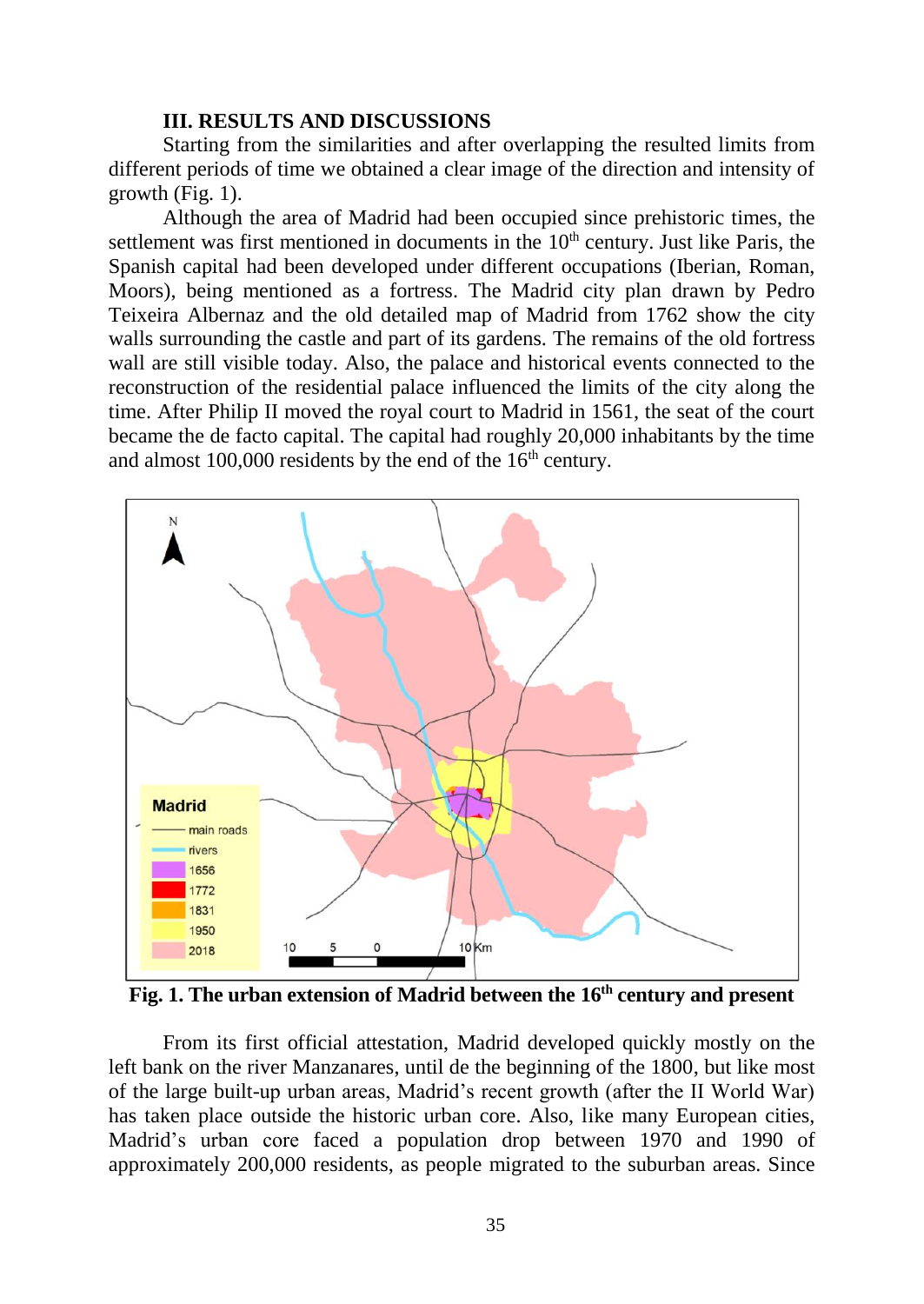## **III. RESULTS AND DISCUSSIONS**

Starting from the similarities and after overlapping the resulted limits from different periods of time we obtained a clear image of the direction and intensity of growth (Fig. 1).

Although the area of Madrid had been occupied since prehistoric times, the settlement was first mentioned in documents in the  $10<sup>th</sup>$  century. Just like Paris, the Spanish capital had been developed under different occupations (Iberian, Roman, Moors), being mentioned as a fortress. The Madrid city plan drawn by Pedro Teixeira Albernaz and the old detailed map of Madrid from 1762 show the city walls surrounding the castle and part of its gardens. The remains of the old fortress wall are still visible today. Also, the palace and historical events connected to the reconstruction of the residential palace influenced the limits of the city along the time. After Philip II moved the royal court to Madrid in 1561, the seat of the court became the de facto capital. The capital had roughly 20,000 inhabitants by the time and almost  $100,000$  residents by the end of the  $16<sup>th</sup>$  century.



**Fig. 1. The urban extension of Madrid between the 16th century and present**

From its first official attestation, Madrid developed quickly mostly on the left bank on the river Manzanares, until de the beginning of the 1800, but like most of the large built-up urban areas, Madrid's recent growth (after the II World War) has taken place outside the historic urban core. Also, like many European cities, Madrid's urban core faced a population drop between 1970 and 1990 of approximately 200,000 residents, as people migrated to the suburban areas. Since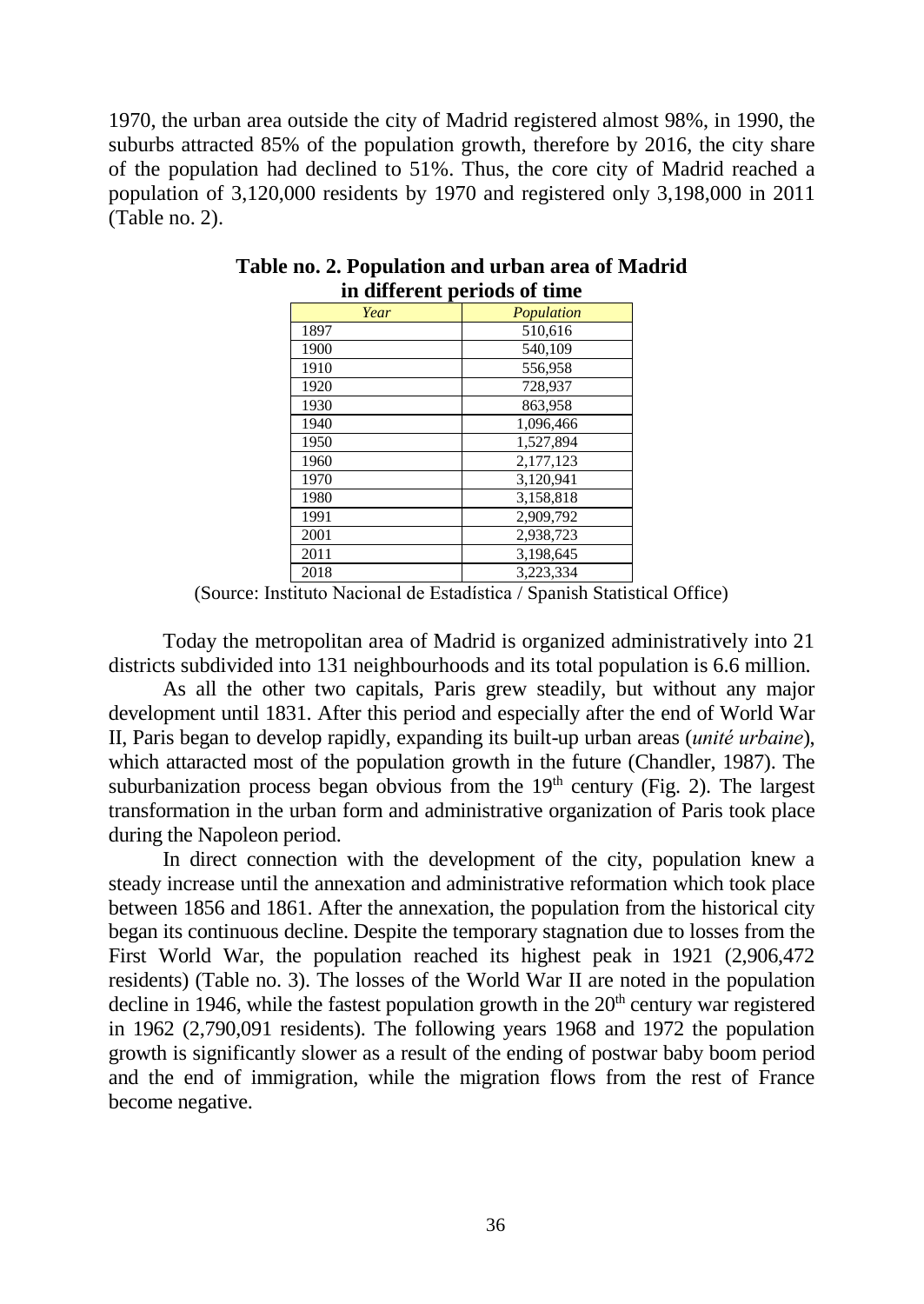1970, the urban area outside the city of Madrid registered almost 98%, in 1990, the suburbs attracted 85% of the population growth, therefore by 2016, the city share of the population had declined to 51%. Thus, the core city of Madrid reached a population of 3,120,000 residents by 1970 and registered only 3,198,000 in 2011 (Table no. 2).

| m unici che periodo oi unic |            |  |  |  |
|-----------------------------|------------|--|--|--|
| Year                        | Population |  |  |  |
| 1897                        | 510.616    |  |  |  |
| 1900                        | 540,109    |  |  |  |
| 1910                        | 556,958    |  |  |  |
| 1920                        | 728,937    |  |  |  |
| 1930                        | 863.958    |  |  |  |
| 1940                        | 1,096,466  |  |  |  |
| 1950                        | 1.527.894  |  |  |  |
| 1960                        | 2,177,123  |  |  |  |
| 1970                        | 3,120,941  |  |  |  |
| 1980                        | 3,158,818  |  |  |  |
| 1991                        | 2,909,792  |  |  |  |
| 2001                        | 2,938,723  |  |  |  |
| 2011                        | 3,198,645  |  |  |  |
| 2018                        | 3.223.334  |  |  |  |

## **Table no. 2. Population and urban area of Madrid in different periods of time**

(Source: Instituto Nacional de Estadística / Spanish Statistical Office)

Today the metropolitan area of Madrid is organized administratively into 21 districts subdivided into 131 neighbourhoods and its total population is 6.6 million.

As all the other two capitals, Paris grew steadily, but without any major development until 1831. After this period and especially after the end of World War II, Paris began to develop rapidly, expanding its built-up urban areas (*unité urbaine*), which attaracted most of the population growth in the future (Chandler, 1987). The suburbanization process began obvious from the  $19<sup>th</sup>$  century (Fig. 2). The largest transformation in the urban form and administrative organization of Paris took place during the Napoleon period.

In direct connection with the development of the city, population knew a steady increase until the annexation and administrative reformation which took place between 1856 and 1861. After the annexation, the population from the historical city began its continuous decline. Despite the temporary stagnation due to losses from the First World War, the population reached its highest peak in 1921 (2,906,472 residents) (Table no. 3). The losses of the World War II are noted in the population decline in 1946, while the fastest population growth in the  $20<sup>th</sup>$  century war registered in 1962 (2,790,091 residents). The following years 1968 and 1972 the population growth is significantly slower as a result of the ending of postwar baby boom period and the end of immigration, while the migration flows from the rest of France become negative.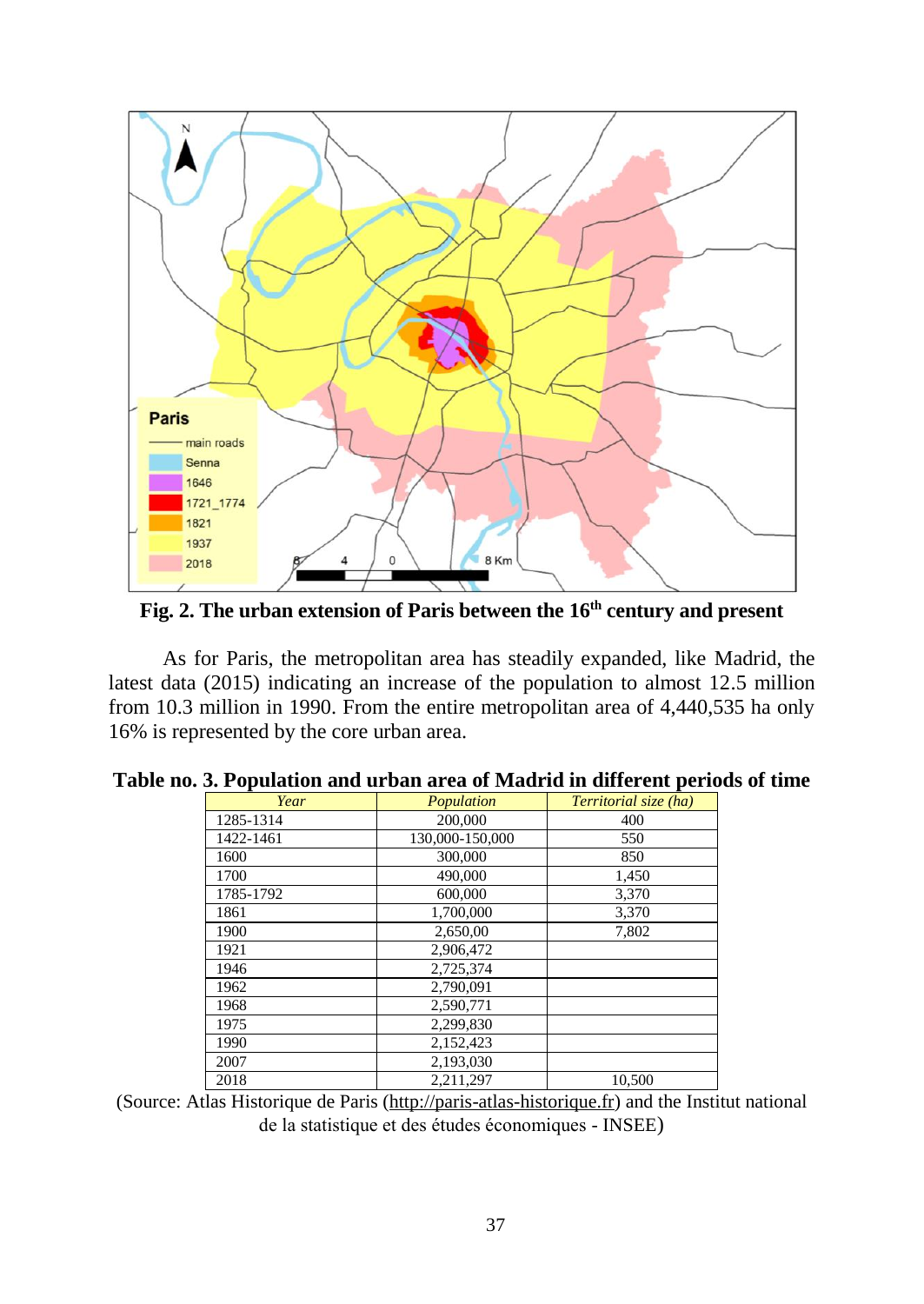

**Fig. 2. The urban extension of Paris between the 16th century and present**

As for Paris, the metropolitan area has steadily expanded, like Madrid, the latest data (2015) indicating an increase of the population to almost 12.5 million from 10.3 million in 1990. From the entire metropolitan area of 4,440,535 ha only 16% is represented by the core urban area.

| Year      | Population      | Territorial size (ha) |
|-----------|-----------------|-----------------------|
| 1285-1314 | 200,000         | 400                   |
| 1422-1461 | 130,000-150,000 | 550                   |
| 1600      | 300,000         | 850                   |
| 1700      | 490,000         | 1,450                 |
| 1785-1792 | 600,000         | 3,370                 |
| 1861      | 1,700,000       | 3,370                 |
| 1900      | 2,650,00        | 7.802                 |
| 1921      | 2,906,472       |                       |
| 1946      | 2,725,374       |                       |
| 1962      | 2,790,091       |                       |
| 1968      | 2,590,771       |                       |
| 1975      | 2,299,830       |                       |
| 1990      | 2,152,423       |                       |
| 2007      | 2,193,030       |                       |
| 2018      | 2,211,297       | 10,500                |

(Source: Atlas Historique de Paris [\(http://paris-atlas-historique.fr\)](http://paris-atlas-historique.fr/) and the Institut national de la statistique et des études économiques - INSEE)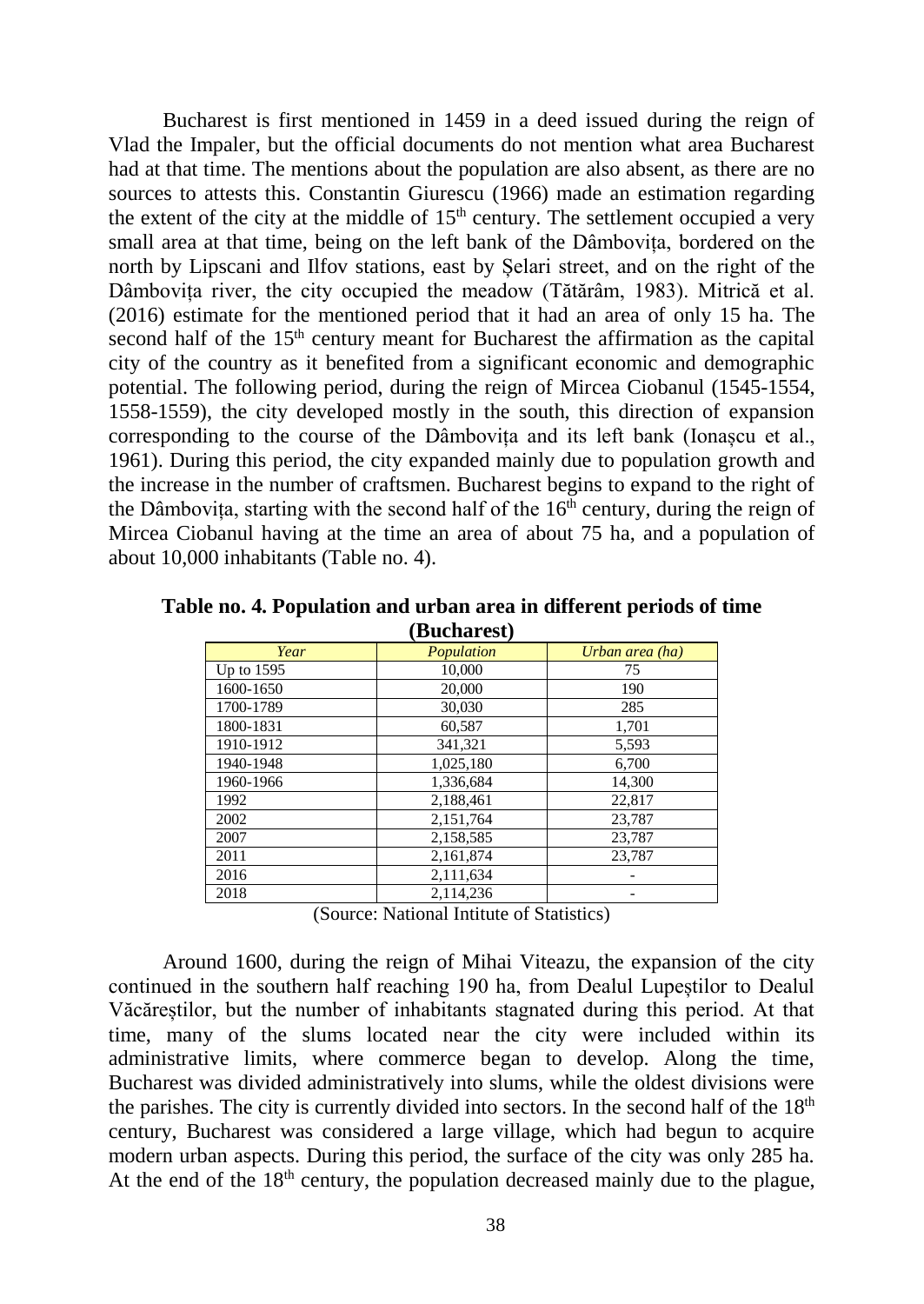Bucharest is first mentioned in 1459 in a deed issued during the reign of Vlad the Impaler, but the official documents do not mention what area Bucharest had at that time. The mentions about the population are also absent, as there are no sources to attests this. Constantin Giurescu (1966) made an estimation regarding the extent of the city at the middle of  $15<sup>th</sup>$  century. The settlement occupied a very small area at that time, being on the left bank of the Dâmbovița, bordered on the north by Lipscani and Ilfov stations, east by Șelari street, and on the right of the Dâmbovița river, the city occupied the meadow (Tătărâm, 1983). Mitrică et al. (2016) estimate for the mentioned period that it had an area of only 15 ha. The second half of the  $15<sup>th</sup>$  century meant for Bucharest the affirmation as the capital city of the country as it benefited from a significant economic and demographic potential. The following period, during the reign of Mircea Ciobanul (1545-1554, 1558-1559), the city developed mostly in the south, this direction of expansion corresponding to the course of the Dâmbovita and its left bank (Ionascu et al., 1961). During this period, the city expanded mainly due to population growth and the increase in the number of craftsmen. Bucharest begins to expand to the right of the Dâmbovita, starting with the second half of the  $16<sup>th</sup>$  century, during the reign of Mircea Ciobanul having at the time an area of about 75 ha, and a population of about 10,000 inhabitants (Table no. 4).

| Year       | Population | Urban area (ha) |  |  |  |
|------------|------------|-----------------|--|--|--|
| Up to 1595 | 10,000     | 75              |  |  |  |
| 1600-1650  | 20,000     | 190             |  |  |  |
| 1700-1789  | 30,030     | 285             |  |  |  |
| 1800-1831  | 60,587     | 1,701           |  |  |  |
| 1910-1912  | 341,321    | 5,593           |  |  |  |
| 1940-1948  | 1.025.180  | 6,700           |  |  |  |
| 1960-1966  | 1,336,684  | 14,300          |  |  |  |
| 1992       | 2,188,461  | 22,817          |  |  |  |
| 2002       | 2,151,764  | 23,787          |  |  |  |
| 2007       | 2,158,585  | 23,787          |  |  |  |
| 2011       | 2,161,874  | 23,787          |  |  |  |
| 2016       | 2,111,634  |                 |  |  |  |
| 2018       | 2.114.236  |                 |  |  |  |

**Table no. 4. Population and urban area in different periods of time (Bucharest)**

(Source: National Intitute of Statistics)

Around 1600, during the reign of Mihai Viteazu, the expansion of the city continued in the southern half reaching 190 ha, from Dealul Lupeștilor to Dealul Văcăreștilor, but the number of inhabitants stagnated during this period. At that time, many of the slums located near the city were included within its administrative limits, where commerce began to develop. Along the time, Bucharest was divided administratively into slums, while the oldest divisions were the parishes. The city is currently divided into sectors. In the second half of the  $18<sup>th</sup>$ century, Bucharest was considered a large village, which had begun to acquire modern urban aspects. During this period, the surface of the city was only 285 ha. At the end of the  $18<sup>th</sup>$  century, the population decreased mainly due to the plague,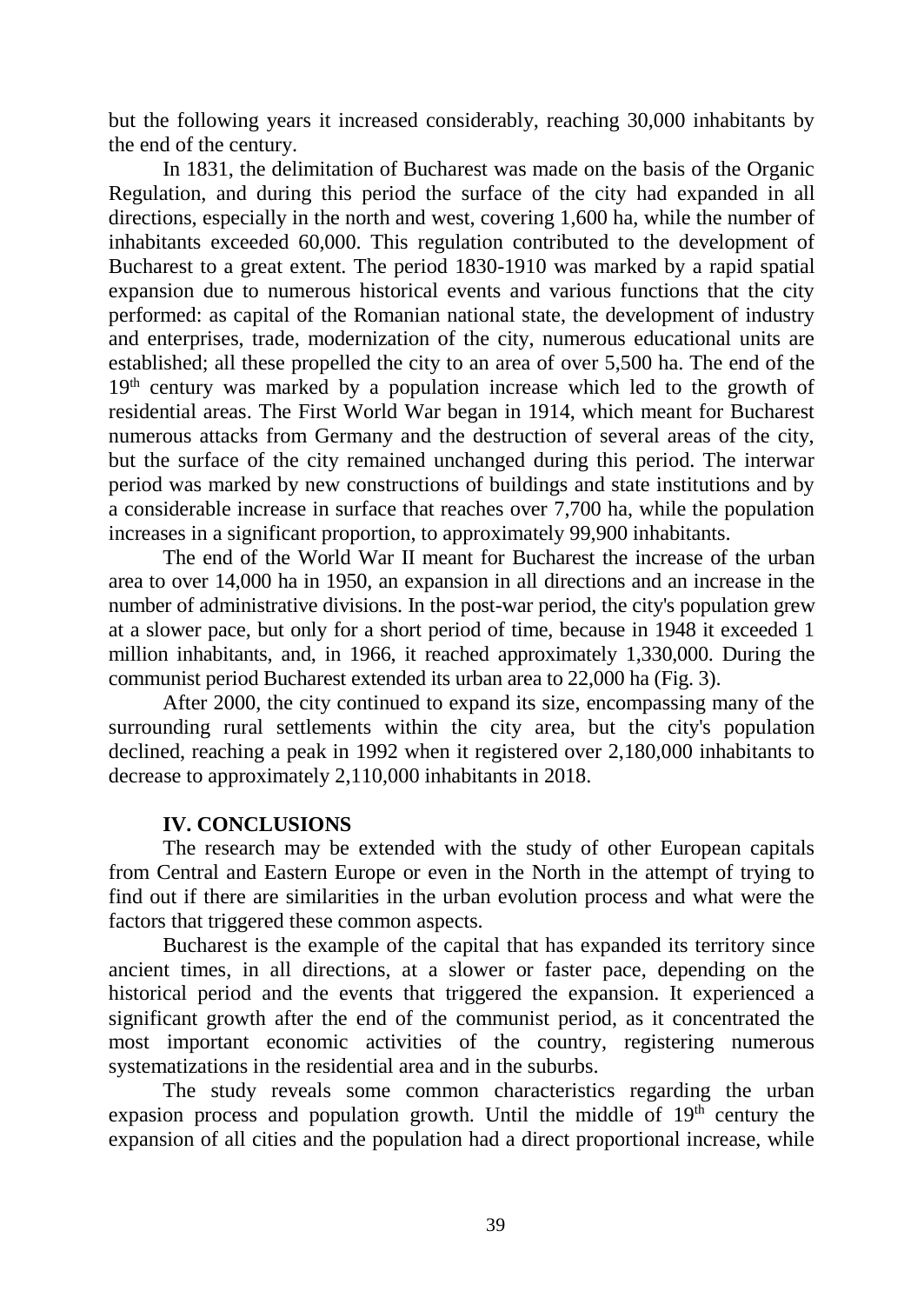but the following years it increased considerably, reaching 30,000 inhabitants by the end of the century.

In 1831, the delimitation of Bucharest was made on the basis of the Organic Regulation, and during this period the surface of the city had expanded in all directions, especially in the north and west, covering 1,600 ha, while the number of inhabitants exceeded 60,000. This regulation contributed to the development of Bucharest to a great extent. The period 1830-1910 was marked by a rapid spatial expansion due to numerous historical events and various functions that the city performed: as capital of the Romanian national state, the development of industry and enterprises, trade, modernization of the city, numerous educational units are established; all these propelled the city to an area of over 5,500 ha. The end of the 19<sup>th</sup> century was marked by a population increase which led to the growth of residential areas. The First World War began in 1914, which meant for Bucharest numerous attacks from Germany and the destruction of several areas of the city, but the surface of the city remained unchanged during this period. The interwar period was marked by new constructions of buildings and state institutions and by a considerable increase in surface that reaches over 7,700 ha, while the population increases in a significant proportion, to approximately 99,900 inhabitants.

The end of the World War II meant for Bucharest the increase of the urban area to over 14,000 ha in 1950, an expansion in all directions and an increase in the number of administrative divisions. In the post-war period, the city's population grew at a slower pace, but only for a short period of time, because in 1948 it exceeded 1 million inhabitants, and, in 1966, it reached approximately 1,330,000. During the communist period Bucharest extended its urban area to 22,000 ha (Fig. 3).

After 2000, the city continued to expand its size, encompassing many of the surrounding rural settlements within the city area, but the city's population declined, reaching a peak in 1992 when it registered over 2,180,000 inhabitants to decrease to approximately 2,110,000 inhabitants in 2018.

### **IV. CONCLUSIONS**

The research may be extended with the study of other European capitals from Central and Eastern Europe or even in the North in the attempt of trying to find out if there are similarities in the urban evolution process and what were the factors that triggered these common aspects.

Bucharest is the example of the capital that has expanded its territory since ancient times, in all directions, at a slower or faster pace, depending on the historical period and the events that triggered the expansion. It experienced a significant growth after the end of the communist period, as it concentrated the most important economic activities of the country, registering numerous systematizations in the residential area and in the suburbs.

The study reveals some common characteristics regarding the urban expasion process and population growth. Until the middle of  $19<sup>th</sup>$  century the expansion of all cities and the population had a direct proportional increase, while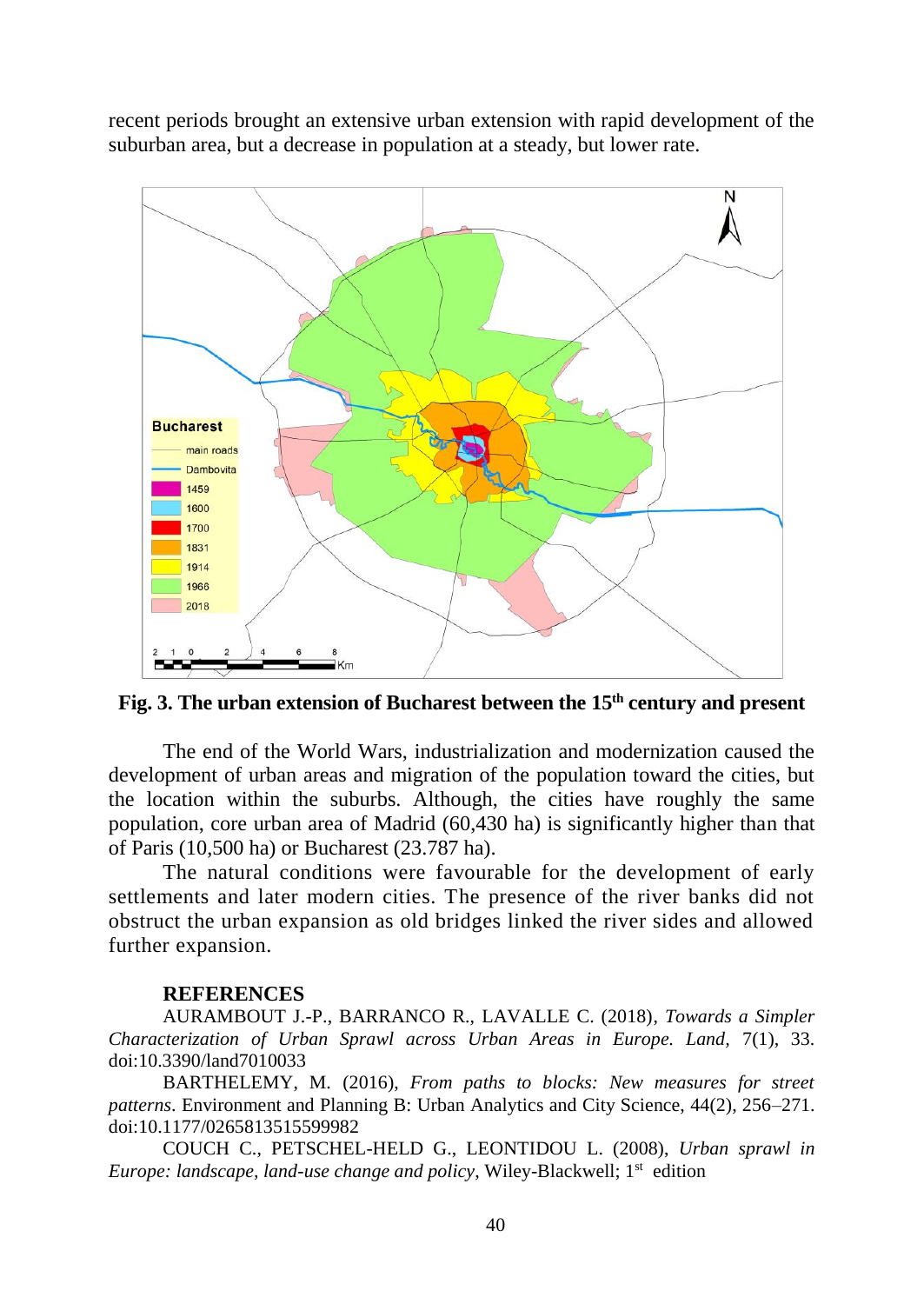recent periods brought an extensive urban extension with rapid development of the suburban area, but a decrease in population at a steady, but lower rate.



**Fig. 3. The urban extension of Bucharest between the 15th century and present**

The end of the World Wars, industrialization and modernization caused the development of urban areas and migration of the population toward the cities, but the location within the suburbs. Although, the cities have roughly the same population, core urban area of Madrid (60,430 ha) is significantly higher than that of Paris (10,500 ha) or Bucharest (23.787 ha).

The natural conditions were favourable for the development of early settlements and later modern cities. The presence of the river banks did not obstruct the urban expansion as old bridges linked the river sides and allowed further expansion.

### **REFERENCES**

AURAMBOUT J.-P., BARRANCO R., LAVALLE C. (2018), *Towards a Simpler Characterization of Urban Sprawl across Urban Areas in Europe. Land,* 7(1), 33. doi:10.3390/land7010033

BARTHELEMY, M. (2016), *From paths to blocks: New measures for street patterns*. Environment and Planning B: Urban Analytics and City Science, 44(2), 256–271. doi:10.1177/0265813515599982

COUCH C., PETSCHEL-HELD G., LEONTIDOU L. (2008), *Urban sprawl in Europe: landscape, land-use change and policy, Wiley-Blackwell; 1<sup>st</sup> edition*